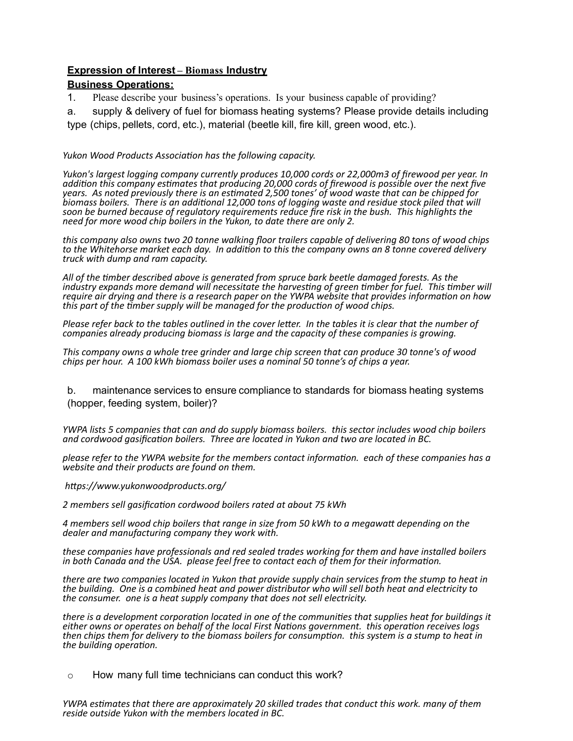# **Expression of Interest – Biomass Industry Business Operations:**

1. Please describe your business's operations. Is your business capable of providing?

a. supply & delivery of fuel for biomass heating systems? Please provide details including type (chips, pellets, cord, etc.), material (beetle kill, fire kill, green wood, etc.).

### *Yukon Wood Products Association has the following capacity.*

*Yukon's largest logging company currently produces 10,000 cords or 22,000m3 of firewood per year. In* addition this company estimates that producing 20,000 cords of firewood is possible over the next five *years. As noted previously there is an es1mated 2,500 tones' of wood waste that can be chipped for*   $\dot{b}$ iomass boilers. $\dot{a}$  There is an additional 12,000 tons of logging waste and residue stock piled that will soon be burned because of regulatory requirements reduce fire risk in the bush. This highlights the *need for more wood chip boilers in the Yukon, to date there are only 2.* 

*this* company also owns two 20 tonne walking floor trailers capable of delivering 80 tons of wood chips to the Whitehorse market each day. In addition to this the company owns an 8 tonne covered delivery *truck* with dump and ram capacity.

All of the timber described above is generated from spruce bark beetle damaged forests. As the industry expands more demand will necessitate the harvesting of green timber for fuel. This timber will require<sup>'</sup> air drying and there is a research paper on the YWPA website that provides information on how *this* part of the timber supply will be managed for the production of wood chips.

Please refer back to the tables outlined in the cover letter. In the tables it is clear that the number of *companies already producing biomass is large and the capacity of these companies is growing.* 

This company owns a whole tree grinder and large chip screen that can produce 30 tonne's of wood *chips per hour.* A 100 kWh biomass boiler uses a nominal 50 tonne's of chips a year.

b. maintenance services to ensure compliance to standards for biomass heating systems (hopper, feeding system, boiler)?

*YWPA* lists 5 companies that can and do supply biomass boilers. this sector includes wood chip boilers and cordwood gasification boilers. Three are located in Yukon and two are located in BC.

please refer to the YWPA website for the members contact information. each of these companies has a *website and their products are found on them.* 

 $https://www.yukonwoodproducts.org/$ 

2 members sell gasification cordwood boilers rated at about 75 kWh

4 members sell wood chip boilers that range in size from 50 kWh to a megawatt depending on the *dealer and manufacturing company they work with.* 

*these companies have professionals and red sealed trades working for them and have installed boilers in* both Canada and the USA. please feel free to contact each of them for their information.

there are two companies located in Yukon that provide supply chain services from the stump to heat in the building. One is a combined heat and power distributor who will sell both heat and electricity to *the consumer. one is a heat supply company that does not sell electricity.* 

*there is a development corporation located in one of the communities that supplies heat for buildings it* either owns or operates on behalf of the local First Nations government. this operation receives logs *then* chips them for delivery to the biomass boilers for consumption. this system is a stump to heat in *the building operation.* 

o How many full time technicians can conduct this work?

*YWPA* estimates that there are approximately 20 skilled trades that conduct this work. many of them reside outside Yukon with the members located in BC.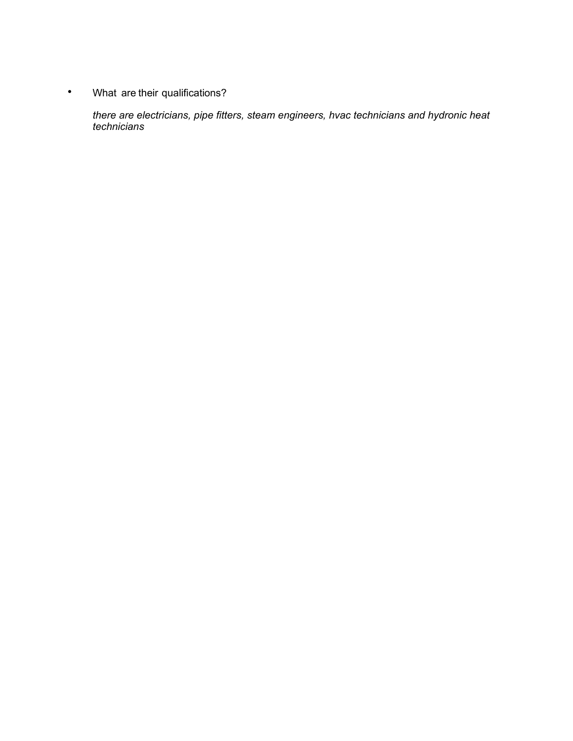• What are their qualifications?

*there are electricians, pipe fitters, steam engineers, hvac technicians and hydronic heat technicians*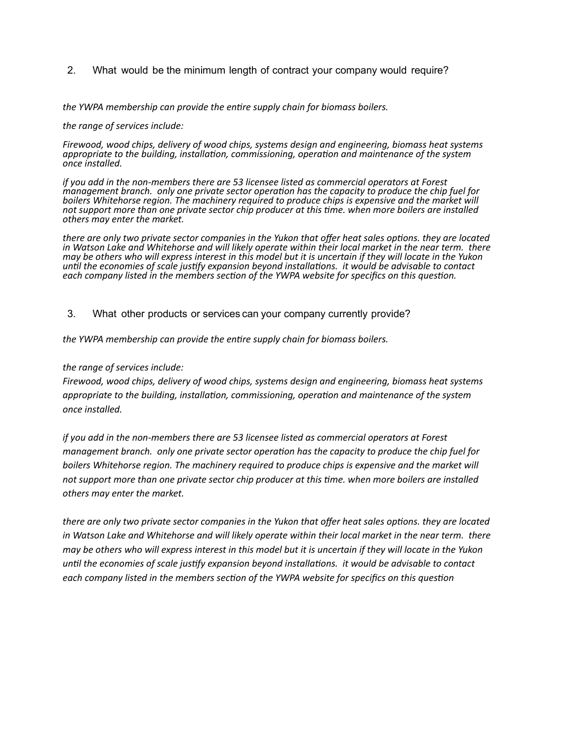2. What would be the minimum length of contract your company would require?

the YWPA membership can provide the entire supply chain for biomass boilers.

#### the range of services include:

Firewood, wood chips, delivery of wood chips, systems design and engineering, biomass heat systems *appropriate to the building, installation, commissioning, operation and maintenance of the system once installed.* 

*if* you add in the non-members there are 53 licensee listed as commercial operators at Forest *management branch.* only one private sector operation has the capacity to produce the chip fuel for boilers Whitehorse region. The machinery required to produce chips is expensive and the market will not support more than one private sector chip producer at this time. when more boilers are installed others may enter the market.

*there are only two private sector companies in the Yukon that offer heat sales options. they are located* in Watson Lake and Whitehorse and will likely operate within their local market in the near term. there *may* be others who will express interest in this model but it is uncertain if they will locate in the Yukon until the economies of scale justify expansion beyond installations.  $\,$  it would  $\,$ be advisable to contact each company listed in the members section of the YWPA website for specifics on this question.

### 3. What other products or services can your company currently provide?

the YWPA membership can provide the entire supply chain for biomass boilers.

#### the range of services include:

Firewood, wood chips, delivery of wood chips, systems design and engineering, biomass heat systems *appropriate to the building, installation, commissioning, operation and maintenance of the system once installed.* 

*if* you add in the non-members there are 53 licensee listed as commercial operators at Forest *management branch.* only one private sector operation has the capacity to produce the chip fuel for *boilers* Whitehorse region. The machinery reguired to produce chips is expensive and the market will not support more than one private sector chip producer at this time. when more boilers are installed others may enter the market.

*there are only two private sector companies in the Yukon that offer heat sales options. they are located in* Watson Lake and Whitehorse and will likely operate within their local market in the near term. there *may* be others who will express interest in this model but it is uncertain if they will locate in the Yukon *until the economies of scale justify expansion beyond installations. it would be advisable to contact* each company listed in the members section of the YWPA website for specifics on this question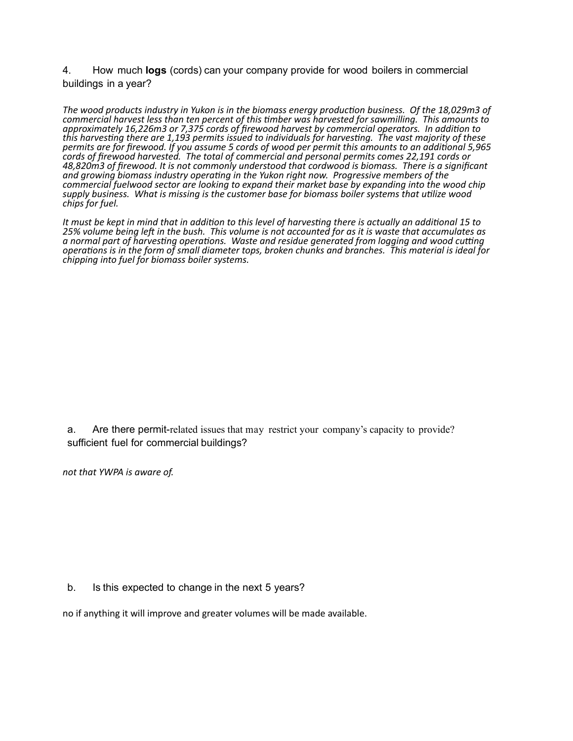4. How much **logs** (cords) can your company provide for wood boilers in commercial buildings in a year?

The wood products industry in Yukon is in the biomass energy production business. Of the 18,029m3 of commercial harvest less than ten percent of this timber was harvested for sawmilling. This amounts to *approximately 16,226m3 or 7,375 cords of firewood harvest by commercial operators. In addi1on to*  this harvesting there are 1,193 permits issued to individuals for harvesting. The vast majority of these *permits are for firewood. If you assume 5 cords of wood per permit this amounts to an addi1onal 5,965 cords of firewood harvested. The total of commercial and personal permits comes 22,191 cords or*  48,820m3 of firewood. It is not commonly understood that cordwood is biomass. There is a significant and growing biomass industry operating in the Yukon right now. Progressive members of the *commercial fuelwood sector are looking to expand their market base by expanding into the wood chip* supply business. What is missing is the customer base for biomass boiler systems that utilize wood *chips for fuel.* 

It must be kept in mind that in addition to this level of harvesting there is actually an additional 15 to 25% volume being left in the bush. This volume is not accounted for as it is waste that accumulates as a normal part of harvesting operations. Waste and residue generated from logging and wood cutting *operations is in the form of small diameter tops, broken chunks and branches.* This material is ideal for *chipping into fuel for biomass boiler systems.* 

a. Are there permit-related issues that may restrict your company's capacity to provide? sufficient fuel for commercial buildings?

not that YWPA is aware of.

b. Is this expected to change in the next 5 years?

no if anything it will improve and greater volumes will be made available.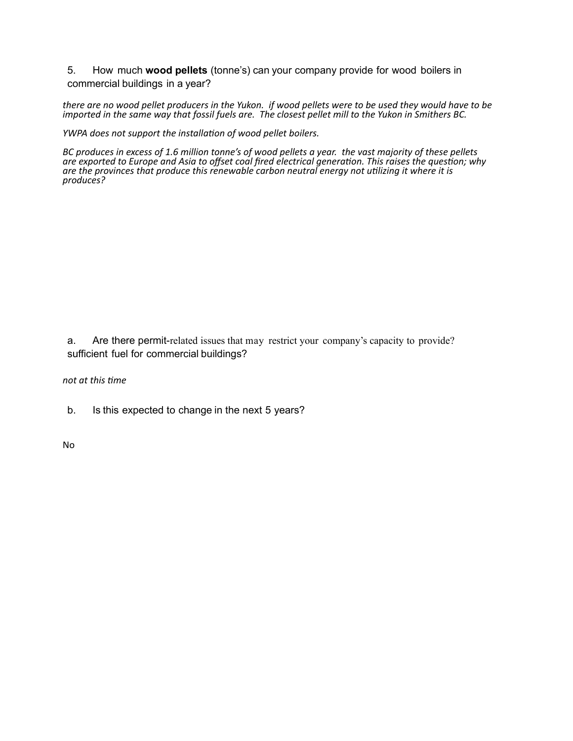5. How much **wood pellets** (tonne's) can your company provide for wood boilers in commercial buildings in a year?

there are no wood pellet producers in the Yukon. *if wood pellets* were to be used they would have to be *imported in the same way that fossil fuels are. The closest pellet mill to the Yukon in Smithers BC.* 

*YWPA* does not support the installation of wood pellet boilers.

*BC* produces in excess of 1.6 million tonne's of wood pellets a year. the vast majority of these pellets are exported to Europe and Asia to offset coal fired electrical generation. This raises the question; why are the provinces that produce this renewable carbon neutral energy not utilizing it where it is *produces?* 

a. Are there permit-related issues that may restrict your company's capacity to provide? sufficient fuel for commercial buildings?

*not* at this time

b. Is this expected to change in the next 5 years?

No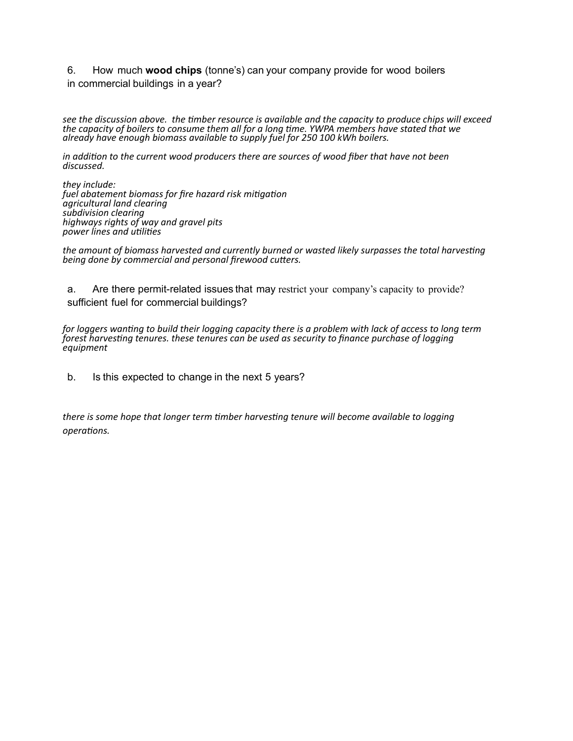6. How much **wood chips** (tonne's) can your company provide for wood boilers in commercial buildings in a year?

see the discussion above. the timber resource is available and the capacity to produce chips will exceed the capacity of boilers to consume them all for a long time. YWPA members have stated that we already have enough biomass available to supply fuel for 250 100 kWh boilers.

*in* addition to the current wood producers there are sources of wood fiber that have not been discussed.

they *include:* fuel abatement biomass for fire hazard risk mitigation *agricultural land clearing*  subdivision clearing highways rights of way and gravel pits *power lines and utilities* 

the amount of biomass harvested and currently burned or wasted likely surpasses the total harvesting *being done by commercial and personal firewood cutters.* 

a. Are there permit-related issues that may restrict your company's capacity to provide? sufficient fuel for commercial buildings?

*for loggers wanting to build their logging capacity there is a problem with lack of access to long term*  $\it f$ orest $\it h$ arvesting tenures. these tenures can be used as security to finance purchase of logging  $\it$ *equipment* 

b. Is this expected to change in the next 5 years?

there is some hope that longer term timber harvesting tenure will become available to logging *opera1ons.*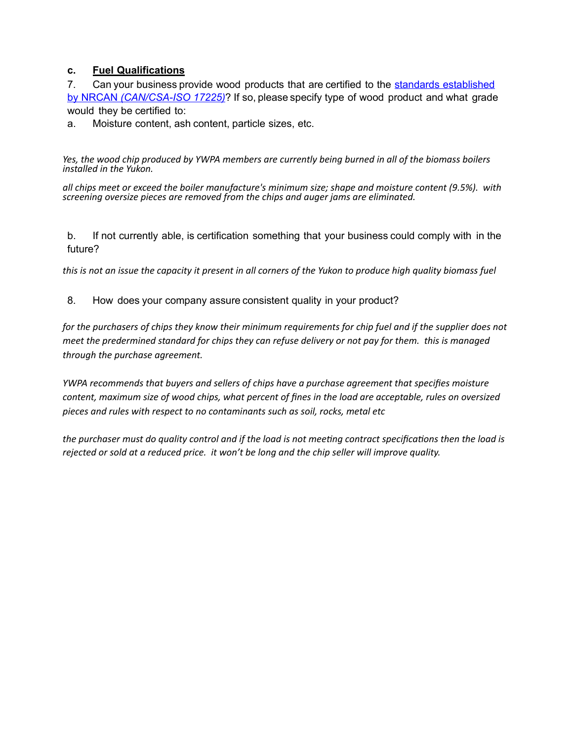# **c. Fuel Qualifications**

7. Can your business provide wood products that are certified to the standards [established](https://www.nrcan.gc.ca/energy/renewable-electricity/bioenergy-systems/biofuels/7399) by NRCAN *[\(CAN/CSA-ISO 17225\)](https://www.nrcan.gc.ca/energy/renewable-electricity/bioenergy-systems/biofuels/7399)*? If so, please specify type of wood product and what grade would they be certified to:

a. Moisture content, ash content, particle sizes, etc.

Yes, the wood chip produced by YWPA members are currently being burned in all of the biomass boilers *installed* in the Yukon.

all chips meet or exceed the boiler manufacture's minimum size; shape and moisture content (9.5%). with screening oversize pieces are removed from the chips and auger jams are eliminated.

b. If not currently able, is certification something that your business could comply with in the future?

*this is not an issue the capacity it present in all corners of the Yukon to produce high quality biomass fuel* 

# 8. How does your company assure consistent quality in your product?

*for* the purchasers of chips they know their minimum requirements for chip fuel and if the supplier does not *meet the predermined standard for chips they can refuse delivery or not pay for them. this is managed through the purchase agreement.* 

*YWPA* recommends that buyers and sellers of chips have a purchase agreement that specifies moisture content, maximum size of wood chips, what percent of fines in the load are acceptable, rules on oversized pieces and rules with respect to no contaminants such as soil, rocks, metal etc

the purchaser must do quality control and if the load is not meeting contract specifications then the load is rejected or sold at a reduced price. it won't be long and the chip seller will improve quality.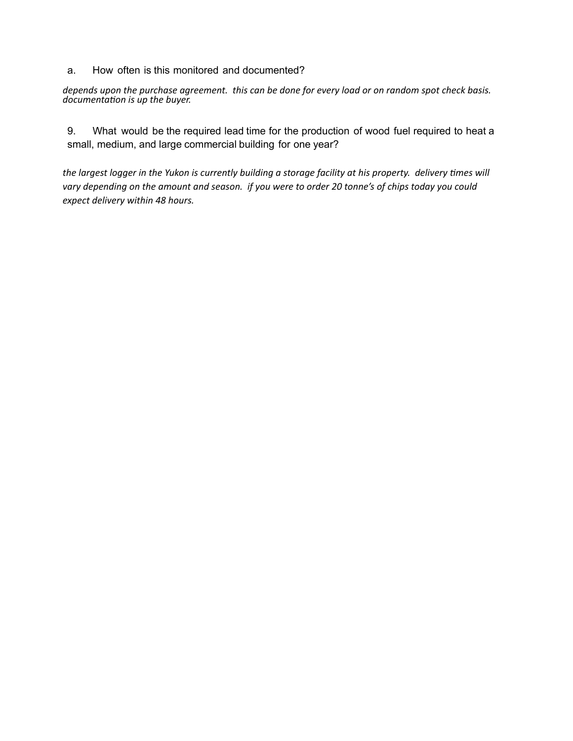### a. How often is this monitored and documented?

*depends upon the purchase agreement.* this can be done for every load or on random spot check basis. documentation is up the buyer.

9. What would be the required lead time for the production of wood fuel required to heat a small, medium, and large commercial building for one year?

the largest logger in the Yukon is currently building a storage facility at his property. delivery times will vary depending on the amount and season. *if you were to order 20 tonne's of chips today you could expect delivery within 48 hours.*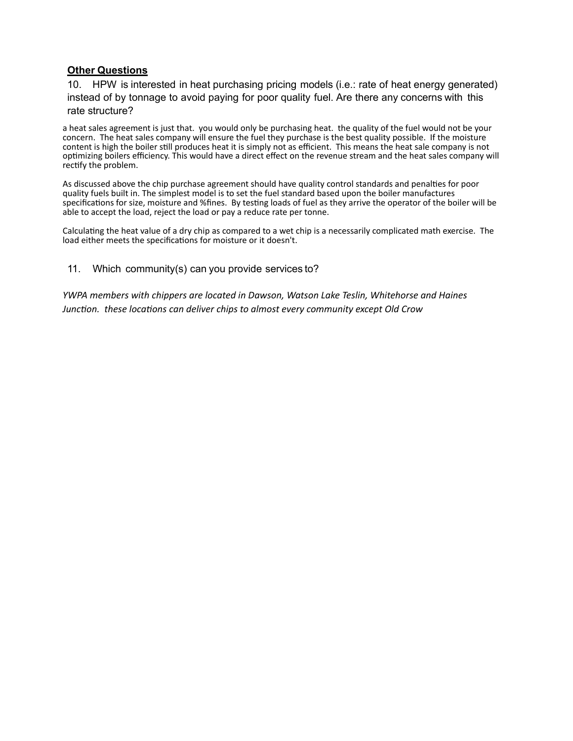# **Other Questions**

10. HPW is interested in heat purchasing pricing models (i.e.: rate of heat energy generated) instead of by tonnage to avoid paying for poor quality fuel. Are there any concerns with this rate structure?

a heat sales agreement is just that. you would only be purchasing heat. the quality of the fuel would not be your concern. The heat sales company will ensure the fuel they purchase is the best quality possible. If the moisture content is high the boiler still produces heat it is simply not as efficient. This means the heat sale company is not optimizing boilers efficiency. This would have a direct effect on the revenue stream and the heat sales company will rectify the problem.

As discussed above the chip purchase agreement should have quality control standards and penalties for poor quality fuels built in. The simplest model is to set the fuel standard based upon the boiler manufactures specifications for size, moisture and %fines. By testing loads of fuel as they arrive the operator of the boiler will be able to accept the load, reject the load or pay a reduce rate per tonne.

Calculating the heat value of a dry chip as compared to a wet chip is a necessarily complicated math exercise. The load either meets the specifications for moisture or it doesn't.

11. Which community(s) can you provide services to?

*YWPA* members with chippers are located in Dawson, Watson Lake Teslin, Whitehorse and Haines *Junction.* these locations can deliver chips to almost every community except Old Crow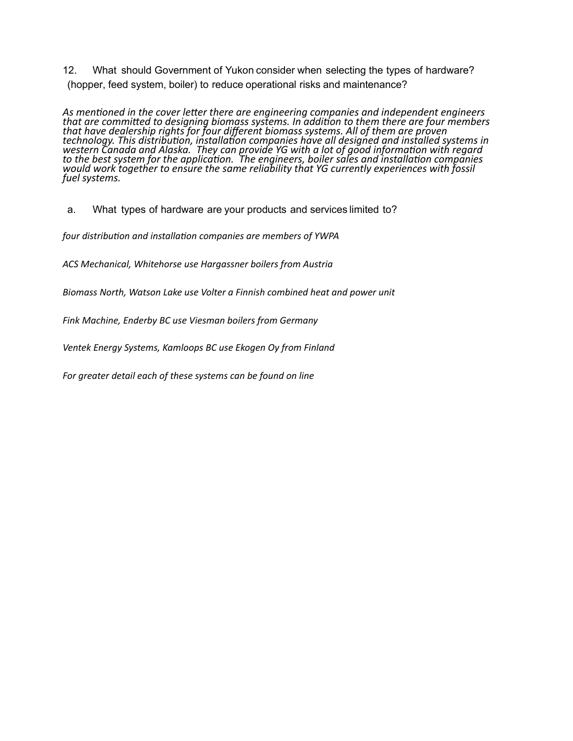12. What should Government of Yukon consider when selecting the types of hardware? (hopper, feed system, boiler) to reduce operational risks and maintenance?

As mentioned in the cover letter there are engineering companies and independent engineers that are committed to designing biomass systems. In addition to them there are four members that have dealership rights for four different biomass systems. All of them are proven technology. This distribution, installation companies have all designed and installed systems in western Canada and Alaska. They can provide *YG* with a lot of good information with regard to the best system for the application. <sup>'</sup>The engineers, boiler sales and installation companies would work´together to ensure the same reliability that YG currently experiences with fossil *fuel systems.* 

a. What types of hardware are your products and services limited to?

four distribution and installation companies are members of YWPA

ACS Mechanical, Whitehorse use Hargassner boilers from Austria

Biomass North, Watson Lake use Volter a Finnish combined heat and power unit

Fink Machine, Enderby BC use Viesman boilers from Germany

Ventek Energy Systems, Kamloops BC use Ekogen Oy from Finland

For greater detail each of these systems can be found on line